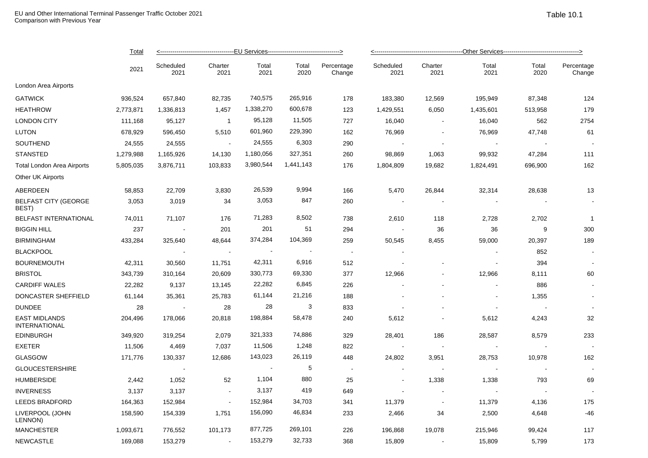|                                              | <b>Total</b> |                   |                 |               |                |                          |                          |                 |               |                          |                      |
|----------------------------------------------|--------------|-------------------|-----------------|---------------|----------------|--------------------------|--------------------------|-----------------|---------------|--------------------------|----------------------|
|                                              | 2021         | Scheduled<br>2021 | Charter<br>2021 | Total<br>2021 | Total<br>2020  | Percentage<br>Change     | Scheduled<br>2021        | Charter<br>2021 | Total<br>2021 | Total<br>2020            | Percentage<br>Change |
| London Area Airports                         |              |                   |                 |               |                |                          |                          |                 |               |                          |                      |
| <b>GATWICK</b>                               | 936,524      | 657,840           | 82,735          | 740,575       | 265,916        | 178                      | 183,380                  | 12,569          | 195,949       | 87,348                   | 124                  |
| <b>HEATHROW</b>                              | 2,773,871    | 1,336,813         | 1,457           | 1,338,270     | 600,678        | 123                      | 1,429,551                | 6,050           | 1,435,601     | 513,958                  | 179                  |
| <b>LONDON CITY</b>                           | 111,168      | 95,127            | $\overline{1}$  | 95,128        | 11,505         | 727                      | 16,040                   | $\sim$          | 16,040        | 562                      | 2754                 |
| <b>LUTON</b>                                 | 678,929      | 596,450           | 5,510           | 601,960       | 229,390        | 162                      | 76,969                   |                 | 76,969        | 47,748                   | 61                   |
| SOUTHEND                                     | 24,555       | 24,555            | $\sim$          | 24,555        | 6,303          | 290                      |                          | $\sim$          |               | $\overline{\phantom{a}}$ |                      |
| <b>STANSTED</b>                              | 1,279,988    | 1,165,926         | 14,130          | 1,180,056     | 327,351        | 260                      | 98,869                   | 1,063           | 99,932        | 47,284                   | 111                  |
| <b>Total London Area Airports</b>            | 5,805,035    | 3,876,711         | 103,833         | 3,980,544     | 1,441,143      | 176                      | 1,804,809                | 19,682          | 1,824,491     | 696,900                  | 162                  |
| Other UK Airports                            |              |                   |                 |               |                |                          |                          |                 |               |                          |                      |
| ABERDEEN                                     | 58,853       | 22,709            | 3,830           | 26,539        | 9,994          | 166                      | 5,470                    | 26,844          | 32,314        | 28,638                   | 13                   |
| <b>BELFAST CITY (GEORGE</b><br>BEST)         | 3,053        | 3,019             | 34              | 3,053         | 847            | 260                      | $\overline{\phantom{a}}$ |                 |               |                          |                      |
| BELFAST INTERNATIONAL                        | 74,011       | 71,107            | 176             | 71,283        | 8,502          | 738                      | 2,610                    | 118             | 2,728         | 2,702                    | $\overline{1}$       |
| <b>BIGGIN HILL</b>                           | 237          | $\sim$ $\pm$      | 201             | 201           | 51             | 294                      |                          | 36              | 36            | 9                        | 300                  |
| <b>BIRMINGHAM</b>                            | 433,284      | 325,640           | 48,644          | 374,284       | 104,369        | 259                      | 50,545                   | 8,455           | 59,000        | 20,397                   | 189                  |
| <b>BLACKPOOL</b>                             |              | $\sim$            | $\sim$          | $\sim$        | $\blacksquare$ | $\sim$                   |                          |                 |               | 852                      | $\blacksquare$       |
| <b>BOURNEMOUTH</b>                           | 42,311       | 30,560            | 11,751          | 42,311        | 6,916          | 512                      |                          | $\overline{a}$  |               | 394                      | $\sim$               |
| <b>BRISTOL</b>                               | 343,739      | 310,164           | 20,609          | 330,773       | 69,330         | 377                      | 12,966                   |                 | 12,966        | 8,111                    | 60                   |
| <b>CARDIFF WALES</b>                         | 22,282       | 9,137             | 13,145          | 22,282        | 6,845          | 226                      |                          |                 |               | 886                      |                      |
| DONCASTER SHEFFIELD                          | 61,144       | 35,361            | 25,783          | 61,144        | 21,216         | 188                      |                          |                 |               | 1,355                    |                      |
| <b>DUNDEE</b>                                | 28           | $\sim$            | 28              | 28            | 3              | 833                      |                          |                 | $\sim$        | $\sim$                   |                      |
| <b>EAST MIDLANDS</b><br><b>INTERNATIONAL</b> | 204,496      | 178,066           | 20,818          | 198,884       | 58,478         | 240                      | 5,612                    |                 | 5,612         | 4,243                    | 32                   |
| <b>EDINBURGH</b>                             | 349,920      | 319,254           | 2,079           | 321,333       | 74,886         | 329                      | 28,401                   | 186             | 28,587        | 8,579                    | 233                  |
| <b>EXETER</b>                                | 11,506       | 4,469             | 7,037           | 11,506        | 1,248          | 822                      |                          |                 |               |                          |                      |
| GLASGOW                                      | 171,776      | 130,337           | 12,686          | 143,023       | 26,119         | 448                      | 24,802                   | 3,951           | 28,753        | 10,978                   | 162                  |
| <b>GLOUCESTERSHIRE</b>                       |              |                   |                 |               | 5              | $\overline{\phantom{a}}$ |                          | $\sim$          |               | $\overline{\phantom{a}}$ | $\sim$               |
| <b>HUMBERSIDE</b>                            | 2,442        | 1,052             | 52              | 1,104         | 880            | 25                       |                          | 1,338           | 1,338         | 793                      | 69                   |
| <b>INVERNESS</b>                             | 3,137        | 3,137             | $\sim$          | 3,137         | 419            | 649                      | $\sim$                   | $\sim$          |               | $\sim$                   |                      |
| <b>LEEDS BRADFORD</b>                        | 164,363      | 152,984           | $\sim$          | 152,984       | 34,703         | 341                      | 11,379                   | $\sim$          | 11,379        | 4,136                    | 175                  |
| LIVERPOOL (JOHN<br>LENNON)                   | 158,590      | 154,339           | 1,751           | 156,090       | 46,834         | 233                      | 2,466                    | 34              | 2,500         | 4,648                    | $-46$                |
| <b>MANCHESTER</b>                            | 1,093,671    | 776,552           | 101,173         | 877,725       | 269,101        | 226                      | 196,868                  | 19,078          | 215,946       | 99,424                   | 117                  |
| <b>NEWCASTLE</b>                             | 169,088      | 153,279           |                 | 153,279       | 32,733         | 368                      | 15,809                   |                 | 15,809        | 5,799                    | 173                  |